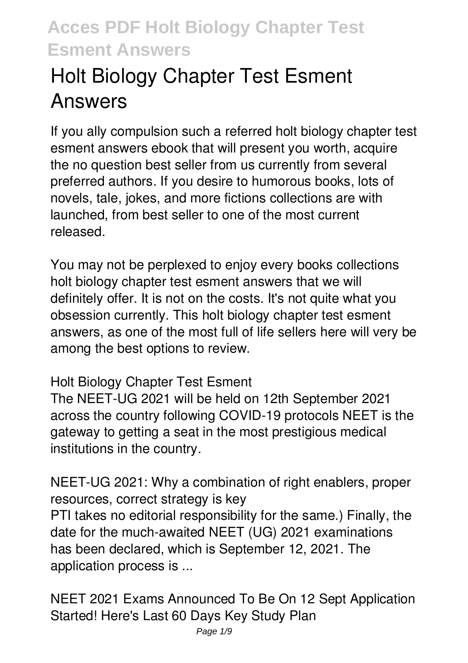# **Holt Biology Chapter Test Esment Answers**

If you ally compulsion such a referred **holt biology chapter test esment answers** ebook that will present you worth, acquire the no question best seller from us currently from several preferred authors. If you desire to humorous books, lots of novels, tale, jokes, and more fictions collections are with launched, from best seller to one of the most current released.

You may not be perplexed to enjoy every books collections holt biology chapter test esment answers that we will definitely offer. It is not on the costs. It's not quite what you obsession currently. This holt biology chapter test esment answers, as one of the most full of life sellers here will very be among the best options to review.

#### **Holt Biology Chapter Test Esment**

The NEET-UG 2021 will be held on 12th September 2021 across the country following COVID-19 protocols NEET is the gateway to getting a seat in the most prestigious medical institutions in the country.

**NEET-UG 2021: Why a combination of right enablers, proper resources, correct strategy is key** PTI takes no editorial responsibility for the same.) Finally, the date for the much-awaited NEET (UG) 2021 examinations has been declared, which is September 12, 2021. The application process is ...

**NEET 2021 Exams Announced To Be On 12 Sept Application Started! Here's Last 60 Days Key Study Plan**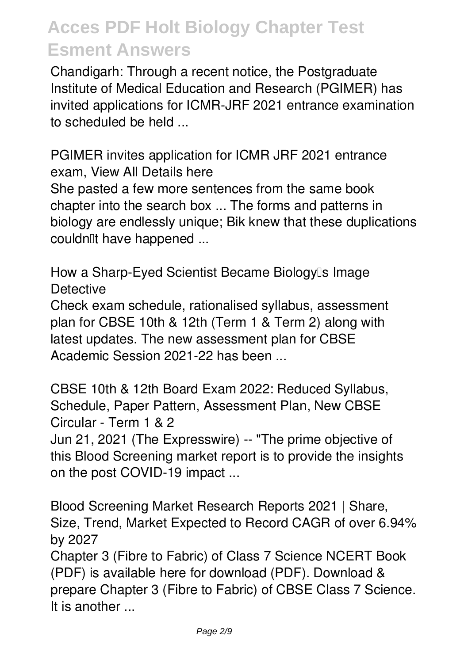Chandigarh: Through a recent notice, the Postgraduate Institute of Medical Education and Research (PGIMER) has invited applications for ICMR-JRF 2021 entrance examination to scheduled be held

**PGIMER invites application for ICMR JRF 2021 entrance exam, View All Details here** She pasted a few more sentences from the same book chapter into the search box ... The forms and patterns in biology are endlessly unique; Bik knew that these duplications couldn<sup>[1</sup>t have happened ...

**How a Sharp-Eyed Scientist Became Biology's Image Detective**

Check exam schedule, rationalised syllabus, assessment plan for CBSE 10th & 12th (Term 1 & Term 2) along with latest updates. The new assessment plan for CBSE Academic Session 2021-22 has been ...

**CBSE 10th & 12th Board Exam 2022: Reduced Syllabus, Schedule, Paper Pattern, Assessment Plan, New CBSE Circular - Term 1 & 2**

Jun 21, 2021 (The Expresswire) -- "The prime objective of this Blood Screening market report is to provide the insights on the post COVID-19 impact ...

**Blood Screening Market Research Reports 2021 | Share, Size, Trend, Market Expected to Record CAGR of over 6.94% by 2027**

Chapter 3 (Fibre to Fabric) of Class 7 Science NCERT Book (PDF) is available here for download (PDF). Download & prepare Chapter 3 (Fibre to Fabric) of CBSE Class 7 Science. It is another ...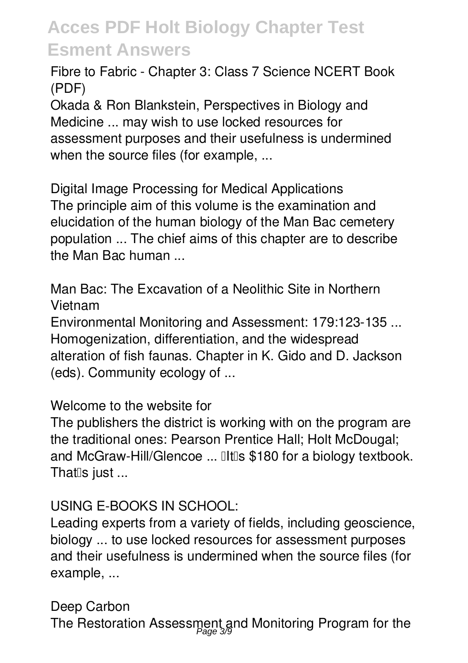**Fibre to Fabric - Chapter 3: Class 7 Science NCERT Book (PDF)**

Okada & Ron Blankstein, Perspectives in Biology and Medicine ... may wish to use locked resources for assessment purposes and their usefulness is undermined when the source files (for example, ...

**Digital Image Processing for Medical Applications** The principle aim of this volume is the examination and elucidation of the human biology of the Man Bac cemetery population ... The chief aims of this chapter are to describe the Man Bac human ...

**Man Bac: The Excavation of a Neolithic Site in Northern Vietnam**

Environmental Monitoring and Assessment: 179:123-135 ... Homogenization, differentiation, and the widespread alteration of fish faunas. Chapter in K. Gido and D. Jackson (eds). Community ecology of ...

**Welcome to the website for**

The publishers the district is working with on the program are the traditional ones: Pearson Prentice Hall; Holt McDougal; and McGraw-Hill/Glencoe ... **IIt** Is \$180 for a biology textbook. That $\mathbb{I}$ s just ...

#### **USING E-BOOKS IN SCHOOL:**

Leading experts from a variety of fields, including geoscience, biology ... to use locked resources for assessment purposes and their usefulness is undermined when the source files (for example, ...

**Deep Carbon**

The Restoration Assessment and Monitoring Program for the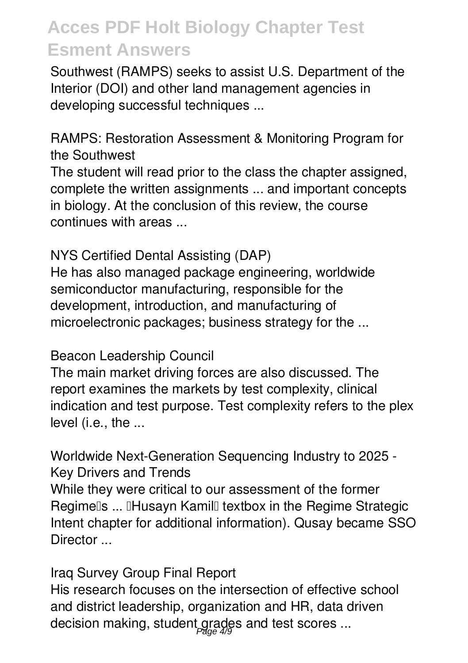Southwest (RAMPS) seeks to assist U.S. Department of the Interior (DOI) and other land management agencies in developing successful techniques ...

**RAMPS: Restoration Assessment & Monitoring Program for the Southwest**

The student will read prior to the class the chapter assigned, complete the written assignments ... and important concepts in biology. At the conclusion of this review, the course continues with areas ...

#### **NYS Certified Dental Assisting (DAP)**

He has also managed package engineering, worldwide semiconductor manufacturing, responsible for the development, introduction, and manufacturing of microelectronic packages; business strategy for the ...

#### **Beacon Leadership Council**

The main market driving forces are also discussed. The report examines the markets by test complexity, clinical indication and test purpose. Test complexity refers to the plex level (i.e., the ...

**Worldwide Next-Generation Sequencing Industry to 2025 - Key Drivers and Trends** While they were critical to our assessment of the former Regimells ... IHusayn Kamill textbox in the Regime Strategic Intent chapter for additional information). Qusay became SSO Director ...

**Iraq Survey Group Final Report** His research focuses on the intersection of effective school and district leadership, organization and HR, data driven decision making, student grades and test scores ...<br>#<sup>2</sup>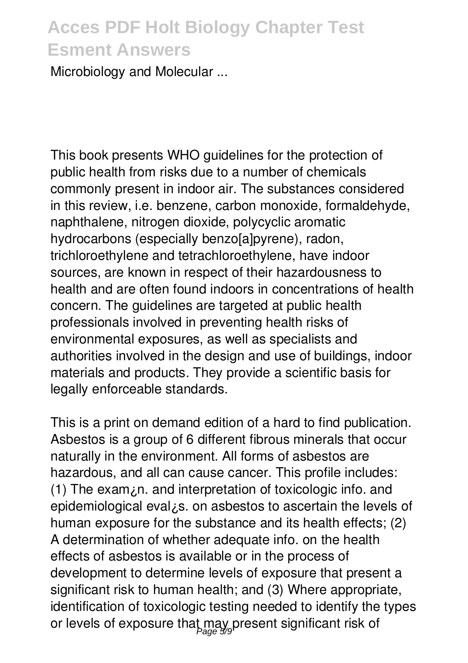Microbiology and Molecular ...

This book presents WHO guidelines for the protection of public health from risks due to a number of chemicals commonly present in indoor air. The substances considered in this review, i.e. benzene, carbon monoxide, formaldehyde, naphthalene, nitrogen dioxide, polycyclic aromatic hydrocarbons (especially benzo[a]pyrene), radon, trichloroethylene and tetrachloroethylene, have indoor sources, are known in respect of their hazardousness to health and are often found indoors in concentrations of health concern. The guidelines are targeted at public health professionals involved in preventing health risks of environmental exposures, as well as specialists and authorities involved in the design and use of buildings, indoor materials and products. They provide a scientific basis for legally enforceable standards.

This is a print on demand edition of a hard to find publication. Asbestos is a group of 6 different fibrous minerals that occur naturally in the environment. All forms of asbestos are hazardous, and all can cause cancer. This profile includes: (1) The exam¿n. and interpretation of toxicologic info. and epidemiological eval¿s. on asbestos to ascertain the levels of human exposure for the substance and its health effects; (2) A determination of whether adequate info. on the health effects of asbestos is available or in the process of development to determine levels of exposure that present a significant risk to human health; and (3) Where appropriate, identification of toxicologic testing needed to identify the types or levels of exposure that may present significant risk of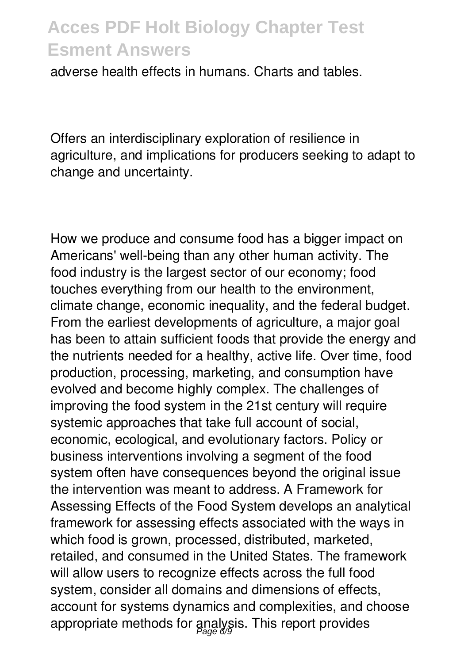adverse health effects in humans. Charts and tables.

Offers an interdisciplinary exploration of resilience in agriculture, and implications for producers seeking to adapt to change and uncertainty.

How we produce and consume food has a bigger impact on Americans' well-being than any other human activity. The food industry is the largest sector of our economy; food touches everything from our health to the environment, climate change, economic inequality, and the federal budget. From the earliest developments of agriculture, a major goal has been to attain sufficient foods that provide the energy and the nutrients needed for a healthy, active life. Over time, food production, processing, marketing, and consumption have evolved and become highly complex. The challenges of improving the food system in the 21st century will require systemic approaches that take full account of social, economic, ecological, and evolutionary factors. Policy or business interventions involving a segment of the food system often have consequences beyond the original issue the intervention was meant to address. A Framework for Assessing Effects of the Food System develops an analytical framework for assessing effects associated with the ways in which food is grown, processed, distributed, marketed, retailed, and consumed in the United States. The framework will allow users to recognize effects across the full food system, consider all domains and dimensions of effects, account for systems dynamics and complexities, and choose appropriate methods for analysis. This report provides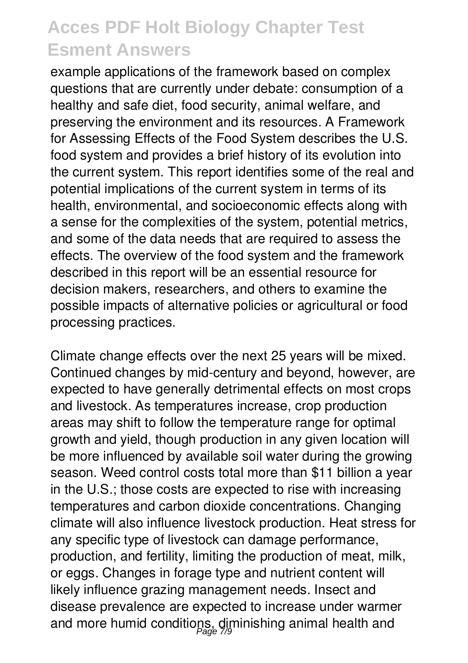example applications of the framework based on complex questions that are currently under debate: consumption of a healthy and safe diet, food security, animal welfare, and preserving the environment and its resources. A Framework for Assessing Effects of the Food System describes the U.S. food system and provides a brief history of its evolution into the current system. This report identifies some of the real and potential implications of the current system in terms of its health, environmental, and socioeconomic effects along with a sense for the complexities of the system, potential metrics, and some of the data needs that are required to assess the effects. The overview of the food system and the framework described in this report will be an essential resource for decision makers, researchers, and others to examine the possible impacts of alternative policies or agricultural or food processing practices.

Climate change effects over the next 25 years will be mixed. Continued changes by mid-century and beyond, however, are expected to have generally detrimental effects on most crops and livestock. As temperatures increase, crop production areas may shift to follow the temperature range for optimal growth and yield, though production in any given location will be more influenced by available soil water during the growing season. Weed control costs total more than \$11 billion a year in the U.S.; those costs are expected to rise with increasing temperatures and carbon dioxide concentrations. Changing climate will also influence livestock production. Heat stress for any specific type of livestock can damage performance, production, and fertility, limiting the production of meat, milk, or eggs. Changes in forage type and nutrient content will likely influence grazing management needs. Insect and disease prevalence are expected to increase under warmer and more humid conditions, diminishing animal health and Page 7/9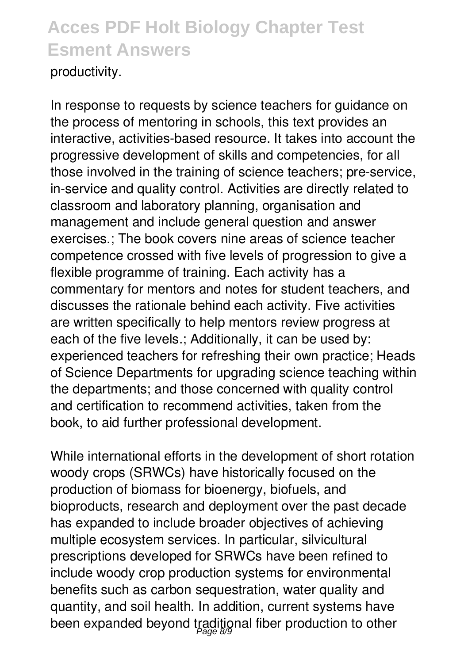#### productivity.

In response to requests by science teachers for guidance on the process of mentoring in schools, this text provides an interactive, activities-based resource. It takes into account the progressive development of skills and competencies, for all those involved in the training of science teachers; pre-service, in-service and quality control. Activities are directly related to classroom and laboratory planning, organisation and management and include general question and answer exercises.; The book covers nine areas of science teacher competence crossed with five levels of progression to give a flexible programme of training. Each activity has a commentary for mentors and notes for student teachers, and discusses the rationale behind each activity. Five activities are written specifically to help mentors review progress at each of the five levels.; Additionally, it can be used by: experienced teachers for refreshing their own practice; Heads of Science Departments for upgrading science teaching within the departments; and those concerned with quality control and certification to recommend activities, taken from the book, to aid further professional development.

While international efforts in the development of short rotation woody crops (SRWCs) have historically focused on the production of biomass for bioenergy, biofuels, and bioproducts, research and deployment over the past decade has expanded to include broader objectives of achieving multiple ecosystem services. In particular, silvicultural prescriptions developed for SRWCs have been refined to include woody crop production systems for environmental benefits such as carbon sequestration, water quality and quantity, and soil health. In addition, current systems have been expanded beyond traditional fiber production to other